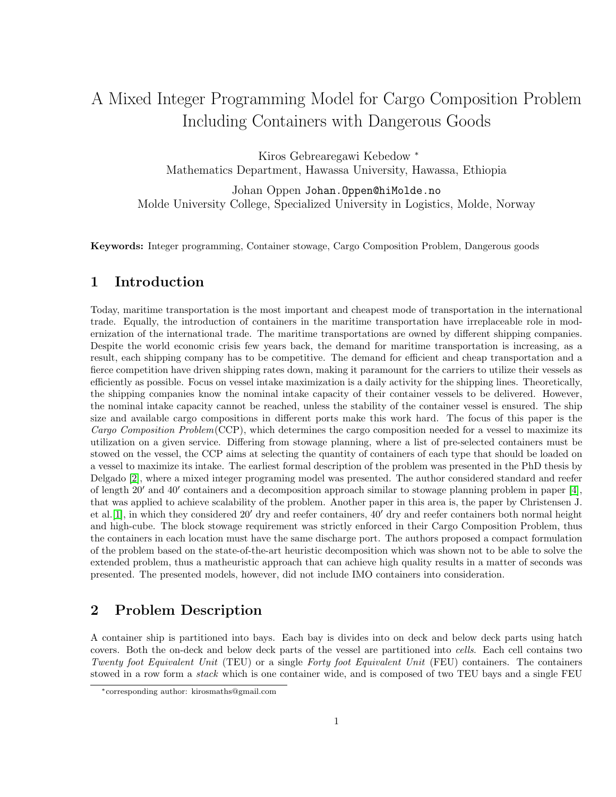# A Mixed Integer Programming Model for Cargo Composition Problem Including Containers with Dangerous Goods

Kiros Gebrearegawi Kebedow <sup>∗</sup> Mathematics Department, Hawassa University, Hawassa, Ethiopia

Johan Oppen Johan.Oppen@hiMolde.no Molde University College, Specialized University in Logistics, Molde, Norway

Keywords: Integer programming, Container stowage, Cargo Composition Problem, Dangerous goods

### 1 Introduction

Today, maritime transportation is the most important and cheapest mode of transportation in the international trade. Equally, the introduction of containers in the maritime transportation have irreplaceable role in modernization of the international trade. The maritime transportations are owned by different shipping companies. Despite the world economic crisis few years back, the demand for maritime transportation is increasing, as a result, each shipping company has to be competitive. The demand for efficient and cheap transportation and a fierce competition have driven shipping rates down, making it paramount for the carriers to utilize their vessels as efficiently as possible. Focus on vessel intake maximization is a daily activity for the shipping lines. Theoretically, the shipping companies know the nominal intake capacity of their container vessels to be delivered. However, the nominal intake capacity cannot be reached, unless the stability of the container vessel is ensured. The ship size and available cargo compositions in different ports make this work hard. The focus of this paper is the Cargo Composition Problem(CCP), which determines the cargo composition needed for a vessel to maximize its utilization on a given service. Differing from stowage planning, where a list of pre-selected containers must be stowed on the vessel, the CCP aims at selecting the quantity of containers of each type that should be loaded on a vessel to maximize its intake. The earliest formal description of the problem was presented in the PhD thesis by Delgado [\[2\]](#page-2-0), where a mixed integer programing model was presented. The author considered standard and reefer of length  $20'$  and  $40'$  containers and a decomposition approach similar to stowage planning problem in paper [\[4\]](#page-2-1), that was applied to achieve scalability of the problem. Another paper in this area is, the paper by Christensen J. et al. [\[1\]](#page-2-2), in which they considered 20' dry and reefer containers,  $40'$  dry and reefer containers both normal height and high-cube. The block stowage requirement was strictly enforced in their Cargo Composition Problem, thus the containers in each location must have the same discharge port. The authors proposed a compact formulation of the problem based on the state-of-the-art heuristic decomposition which was shown not to be able to solve the extended problem, thus a matheuristic approach that can achieve high quality results in a matter of seconds was presented. The presented models, however, did not include IMO containers into consideration.

## 2 Problem Description

A container ship is partitioned into bays. Each bay is divides into on deck and below deck parts using hatch covers. Both the on-deck and below deck parts of the vessel are partitioned into cells. Each cell contains two Twenty foot Equivalent Unit (TEU) or a single Forty foot Equivalent Unit (FEU) containers. The containers stowed in a row form a *stack* which is one container wide, and is composed of two TEU bays and a single FEU

<sup>∗</sup>corresponding author: kirosmaths@gmail.com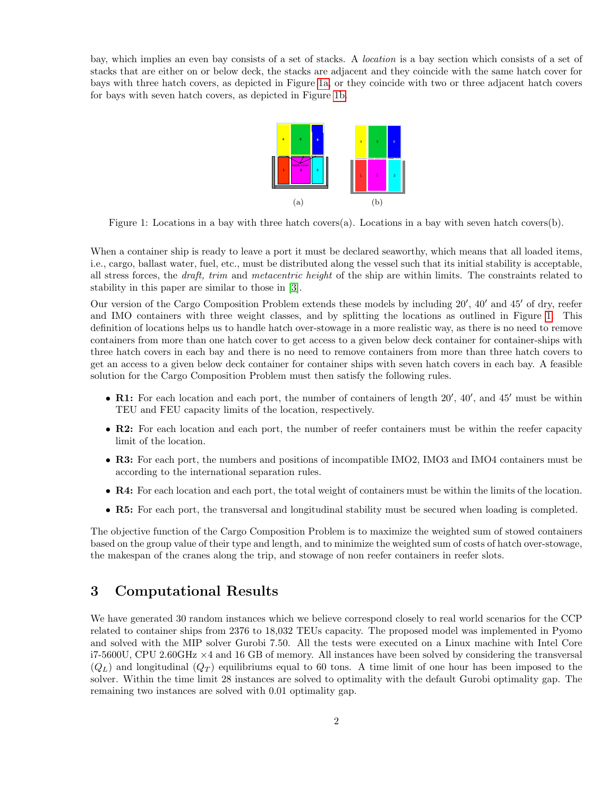<span id="page-1-2"></span><span id="page-1-0"></span>bay, which implies an even bay consists of a set of stacks. A location is a bay section which consists of a set of stacks that are either on or below deck, the stacks are adjacent and they coincide with the same hatch cover for bays with three hatch covers, as depicted in Figure [1a,](#page-1-0) or they coincide with two or three adjacent hatch covers for bays with seven hatch covers, as depicted in Figure [1b.](#page-1-1)

<span id="page-1-1"></span>

Figure 1: Locations in a bay with three hatch covers(a). Locations in a bay with seven hatch covers(b).

When a container ship is ready to leave a port it must be declared seaworthy, which means that all loaded items, i.e., cargo, ballast water, fuel, etc., must be distributed along the vessel such that its initial stability is acceptable, all stress forces, the *draft, trim* and *metacentric height* of the ship are within limits. The constraints related to stability in this paper are similar to those in [\[3\]](#page-2-3).

Our version of the Cargo Composition Problem extends these models by including 20', 40' and 45' of dry, reefer and IMO containers with three weight classes, and by splitting the locations as outlined in Figure [1.](#page-1-2) This definition of locations helps us to handle hatch over-stowage in a more realistic way, as there is no need to remove containers from more than one hatch cover to get access to a given below deck container for container-ships with three hatch covers in each bay and there is no need to remove containers from more than three hatch covers to get an access to a given below deck container for container ships with seven hatch covers in each bay. A feasible solution for the Cargo Composition Problem must then satisfy the following rules.

- R1: For each location and each port, the number of containers of length  $20'$ ,  $40'$ , and  $45'$  must be within TEU and FEU capacity limits of the location, respectively.
- R2: For each location and each port, the number of reefer containers must be within the reefer capacity limit of the location.
- R3: For each port, the numbers and positions of incompatible IMO2, IMO3 and IMO4 containers must be according to the international separation rules.
- R4: For each location and each port, the total weight of containers must be within the limits of the location.
- R5: For each port, the transversal and longitudinal stability must be secured when loading is completed.

The objective function of the Cargo Composition Problem is to maximize the weighted sum of stowed containers based on the group value of their type and length, and to minimize the weighted sum of costs of hatch over-stowage, the makespan of the cranes along the trip, and stowage of non reefer containers in reefer slots.

### 3 Computational Results

We have generated 30 random instances which we believe correspond closely to real world scenarios for the CCP related to container ships from 2376 to 18,032 TEUs capacity. The proposed model was implemented in Pyomo and solved with the MIP solver Gurobi 7.50. All the tests were executed on a Linux machine with Intel Core i7-5600U, CPU 2.60GHz ×4 and 16 GB of memory. All instances have been solved by considering the transversal  $(Q_L)$  and longitudinal  $(Q_T)$  equilibriums equal to 60 tons. A time limit of one hour has been imposed to the solver. Within the time limit 28 instances are solved to optimality with the default Gurobi optimality gap. The remaining two instances are solved with 0.01 optimality gap.